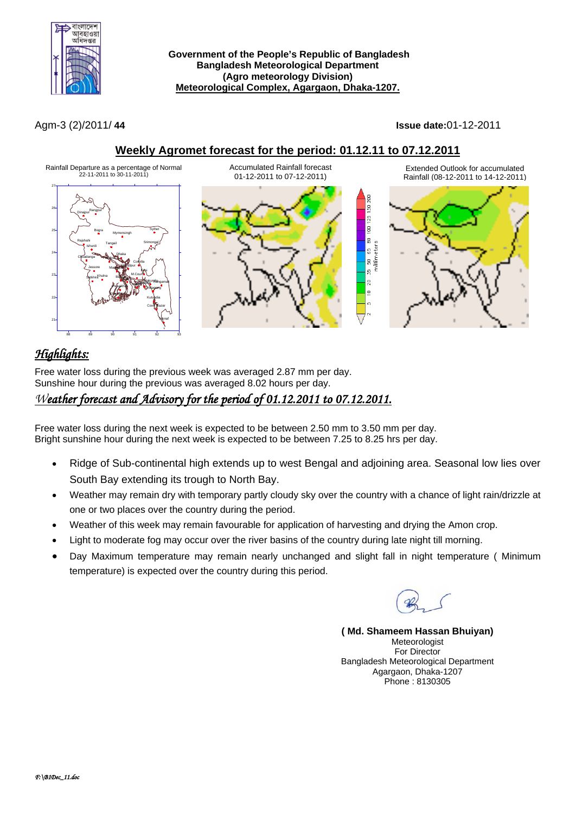

**Government of the People's Republic of Bangladesh Bangladesh Meteorological Department (Agro meteorology Division) Meteorological Complex, Agargaon, Dhaka-1207.**

Agm-3 (2)/2011/ **44 Issue date:**01-12-2011

**Weekly Agromet forecast for the period: 01.12.11 to 07.12.2011**



# *Highlights:*

Free water loss during the previous week was averaged 2.87 mm per day. Sunshine hour during the previous was averaged 8.02 hours per day.

## *Weather forecast and Advisory for the period of 01.12.2011 to 07.12.2011.*

Free water loss during the next week is expected to be between 2.50 mm to 3.50 mm per day. Bright sunshine hour during the next week is expected to be between 7.25 to 8.25 hrs per day.

- Ridge of Sub-continental high extends up to west Bengal and adjoining area. Seasonal low lies over South Bay extending its trough to North Bay.
- Weather may remain dry with temporary partly cloudy sky over the country with a chance of light rain/drizzle at one or two places over the country during the period.
- Weather of this week may remain favourable for application of harvesting and drying the Amon crop.
- Light to moderate fog may occur over the river basins of the country during late night till morning.
- Day Maximum temperature may remain nearly unchanged and slight fall in night temperature ( Minimum temperature) is expected over the country during this period.

**( Md. Shameem Hassan Bhuiyan)** Meteorologist For Director Bangladesh Meteorological Department Agargaon, Dhaka-1207 Phone : 8130305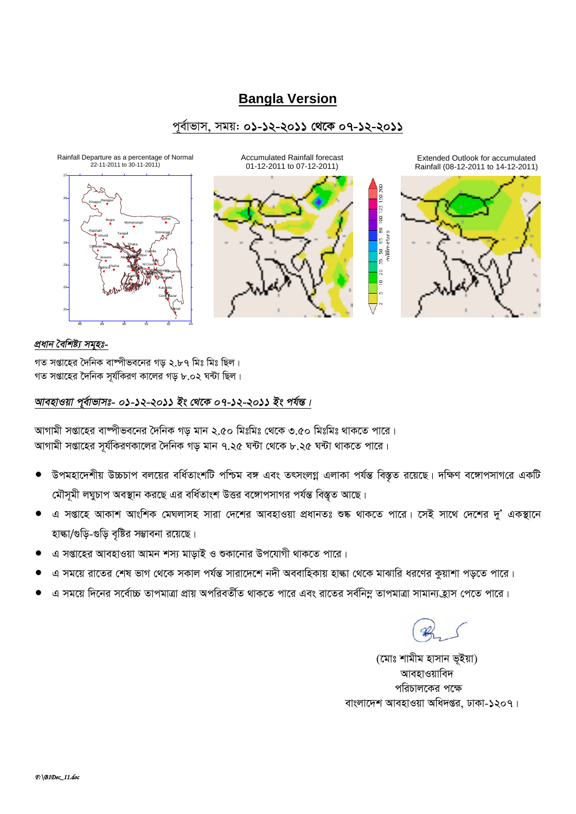# **Bangla Version**

## পর্বাভাস, সময়: ০১-১২-২০১১ থেকে ০৭-১২-২০১১



## প্ৰধান বৈশিষ্ট্য সমূহঃ-

গত সপ্তাহের দৈনিক বাষ্পীভবনের গড় ২.৮৭ মিঃ মিঃ ছিল। গত সপ্তাহের দৈনিক সর্যকিরণ কালের গড় ৮.০২ ঘন্টা ছিল।

## আবহাওয়া পুর্বাভাসঃ- ০১-১২-২০১১ ইং থেকে ০৭-১২-২০১১ ইং পর্যন্ত।

আগামী সপ্তাহের বাষ্পীভবনের দৈনিক গড মান ২.৫০ মিঃমিঃ থেকে ৩.৫০ মিঃমিঃ থাকতে পারে। আগামী সপ্তাহের সূর্যকিরণকালের দৈনিক গড় মান ৭.২৫ ঘন্টা থেকে ৮.২৫ ঘন্টা থাকতে পারে।

- উপমহাদেশীয় উচ্চচাপ বলয়ের বর্ধিতাংশটি পশ্চিম বঙ্গ এবং তৎসংলগ্ন এলাকা পর্যন্ত বিস্তৃত রয়েছে। দক্ষিণ বঙ্গোপসাগরে একটি মৌসমী লঘুচাপ অবস্থান করছে এর বর্ধিতাংশ উত্তর বঙ্গোপসাগর পর্যন্ত বিস্তৃত আছে।
- এ সপ্তাহে আকাশ আংশিক মেঘলাসহ সারা দেশের আবহাওয়া প্রধানতঃ শুষ্ক থাকতে পারে। সেই সাথে দেশের দু' একস্থানে হাল্কা/গুড়ি-গুড়ি বৃষ্টির সম্ভাবনা রয়েছে।
- এ সপ্তাহের আবহাওয়া আমন শস্য মাড়াই ও শুকানোর উপযোগী থাকতে পারে।
- এ সময়ে রাতের শেষ ভাগ থেকে সকাল পর্যন্ত সারাদেশে নদী অববাহিকায় হাঙ্কা থেকে মাঝারি ধরণের কুয়াশা পড়তে পারে।
- এ সময়ে দিনের সর্বোচ্চ তাপমাত্রা প্রায় অপরিবর্তীত থাকতে পারে এবং রাতের সর্বনিম্ন তাপমাত্রা সামান্য হ্রাস পেতে পারে।

(মোঃ শামীম হাসান ভূইয়া) আবহাওয়াবিদ পরিচালকের পক্ষে বাংলাদেশ আবহাওয়া অধিদপ্তর, ঢাকা-১২০৭।